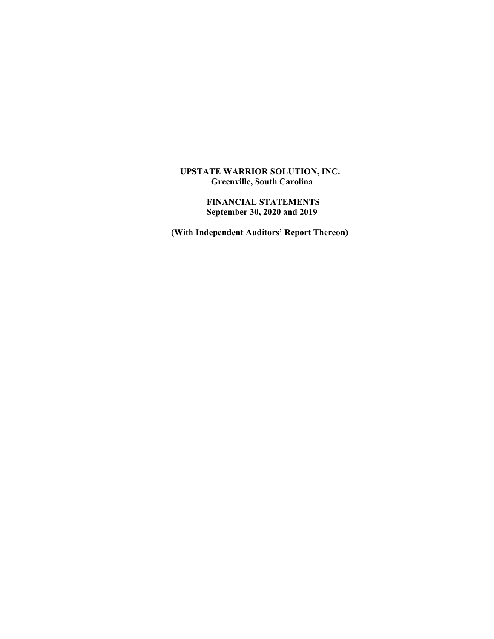## **UPSTATE WARRIOR SOLUTION, INC. Greenville, South Carolina**

 **FINANCIAL STATEMENTS September 30, 2020 and 2019** 

 **(With Independent Auditors' Report Thereon)**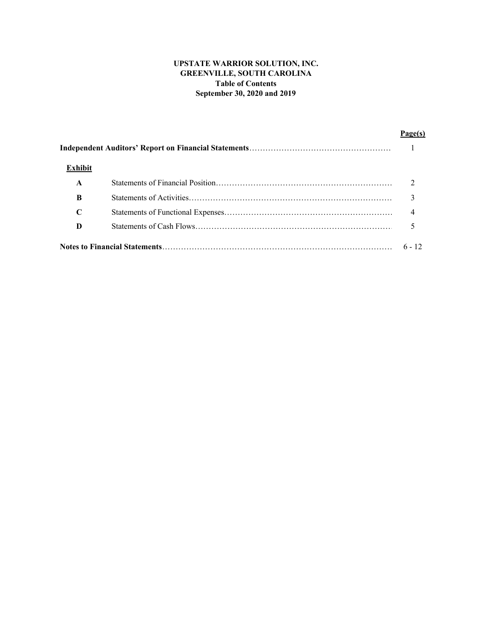# **UPSTATE WARRIOR SOLUTION, INC. GREENVILLE, SOUTH CAROLINA Table of Contents September 30, 2020 and 2019**

| Exhibit |          |
|---------|----------|
| A       |          |
| B       |          |
| C       | 4        |
| D       |          |
|         | $6 - 12$ |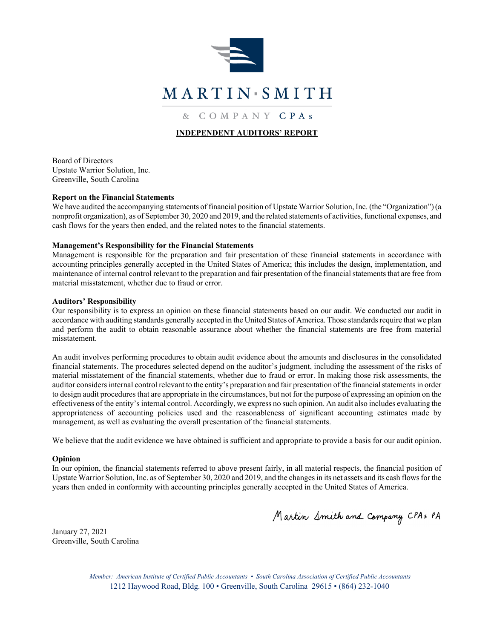

& COMPANY CPAS

# **INDEPENDENT AUDITORS' REPORT**

Board of Directors Upstate Warrior Solution, Inc. Greenville, South Carolina

### **Report on the Financial Statements**

We have audited the accompanying statements of financial position of Upstate Warrior Solution, Inc. (the "Organization") (a nonprofit organization), as of September 30, 2020 and 2019, and the related statements of activities, functional expenses, and cash flows for the years then ended, and the related notes to the financial statements.

### **Management's Responsibility for the Financial Statements**

Management is responsible for the preparation and fair presentation of these financial statements in accordance with accounting principles generally accepted in the United States of America; this includes the design, implementation, and maintenance of internal control relevant to the preparation and fair presentation of the financial statements that are free from material misstatement, whether due to fraud or error.

#### **Auditors' Responsibility**

Our responsibility is to express an opinion on these financial statements based on our audit. We conducted our audit in accordance with auditing standards generally accepted in the United States of America. Those standards require that we plan and perform the audit to obtain reasonable assurance about whether the financial statements are free from material misstatement.

An audit involves performing procedures to obtain audit evidence about the amounts and disclosures in the consolidated financial statements. The procedures selected depend on the auditor's judgment, including the assessment of the risks of material misstatement of the financial statements, whether due to fraud or error. In making those risk assessments, the auditor considers internal control relevant to the entity's preparation and fair presentation of the financial statements in order to design audit procedures that are appropriate in the circumstances, but not for the purpose of expressing an opinion on the effectiveness of the entity's internal control. Accordingly, we express no such opinion. An audit also includes evaluating the appropriateness of accounting policies used and the reasonableness of significant accounting estimates made by management, as well as evaluating the overall presentation of the financial statements.

We believe that the audit evidence we have obtained is sufficient and appropriate to provide a basis for our audit opinion.

#### **Opinion**

In our opinion, the financial statements referred to above present fairly, in all material respects, the financial position of Upstate Warrior Solution, Inc. as of September 30, 2020 and 2019, and the changes in its net assets and its cash flows for the years then ended in conformity with accounting principles generally accepted in the United States of America.

Martin Smith and Company CPAs PA

January 27, 2021 Greenville, South Carolina

> *Member: American Institute of Certified Public Accountants • South Carolina Association of Certified Public Accountants*  1212 Haywood Road, Bldg. 100 • Greenville, South Carolina 29615 • (864) 232-1040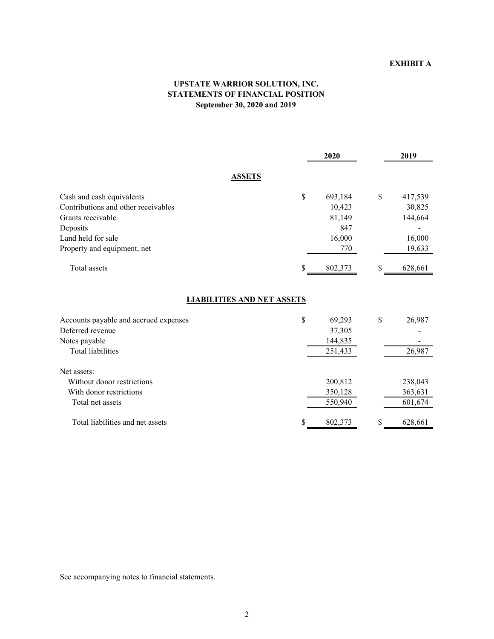# **EXHIBIT A**

# **UPSTATE WARRIOR SOLUTION, INC. STATEMENTS OF FINANCIAL POSITION September 30, 2020 and 2019**

|                                       |                                   | 2020    |    | 2019    |
|---------------------------------------|-----------------------------------|---------|----|---------|
|                                       | <b>ASSETS</b>                     |         |    |         |
| Cash and cash equivalents             | \$                                | 693,184 | \$ | 417,539 |
| Contributions and other receivables   |                                   | 10,423  |    | 30,825  |
| Grants receivable                     |                                   | 81,149  |    | 144,664 |
| Deposits                              |                                   | 847     |    |         |
| Land held for sale                    |                                   | 16,000  |    | 16,000  |
| Property and equipment, net           |                                   | 770     |    | 19,633  |
| <b>Total</b> assets                   | S                                 | 802,373 | \$ | 628,661 |
|                                       | <b>LIABILITIES AND NET ASSETS</b> |         |    |         |
| Accounts payable and accrued expenses | \$                                | 69,293  | \$ | 26,987  |
| Deferred revenue                      |                                   | 37,305  |    |         |
| Notes payable                         |                                   | 144,835 |    |         |
| <b>Total liabilities</b>              |                                   | 251,433 |    | 26,987  |
| Net assets:                           |                                   |         |    |         |
| Without donor restrictions            |                                   | 200,812 |    | 238,043 |
| With donor restrictions               |                                   | 350,128 |    | 363,631 |
| Total net assets                      |                                   | 550,940 |    | 601,674 |
| Total liabilities and net assets      | S                                 | 802,373 | S  | 628,661 |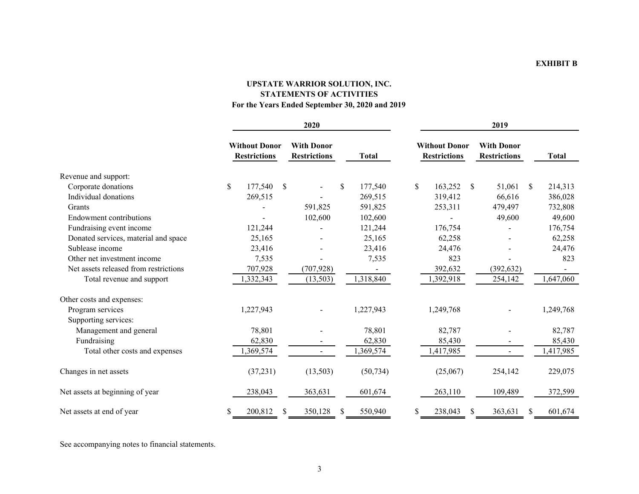# **UPSTATE WARRIOR SOLUTION, INC. STATEMENTS OF ACTIVITIESFor the Years Ended September 30, 2020 and 2019**

|                                       | 2020 |                                             |               |                                          | 2019         |              |                                             |               |                                          |               |              |
|---------------------------------------|------|---------------------------------------------|---------------|------------------------------------------|--------------|--------------|---------------------------------------------|---------------|------------------------------------------|---------------|--------------|
|                                       |      | <b>Without Donor</b><br><b>Restrictions</b> |               | <b>With Donor</b><br><b>Restrictions</b> |              | <b>Total</b> | <b>Without Donor</b><br><b>Restrictions</b> |               | <b>With Donor</b><br><b>Restrictions</b> |               | <b>Total</b> |
| Revenue and support:                  |      |                                             |               |                                          |              |              |                                             |               |                                          |               |              |
| Corporate donations                   | \$   | 177,540                                     | <sup>\$</sup> |                                          | \$           | 177,540      | \$<br>163,252                               | <sup>\$</sup> | 51,061                                   | $\mathcal{S}$ | 214,313      |
| Individual donations                  |      | 269,515                                     |               |                                          |              | 269,515      | 319,412                                     |               | 66,616                                   |               | 386,028      |
| Grants                                |      |                                             |               | 591,825                                  |              | 591,825      | 253,311                                     |               | 479,497                                  |               | 732,808      |
| Endowment contributions               |      |                                             |               | 102,600                                  |              | 102,600      |                                             |               | 49,600                                   |               | 49,600       |
| Fundraising event income              |      | 121,244                                     |               |                                          |              | 121,244      | 176,754                                     |               |                                          |               | 176,754      |
| Donated services, material and space  |      | 25,165                                      |               |                                          |              | 25,165       | 62,258                                      |               |                                          |               | 62,258       |
| Sublease income                       |      | 23,416                                      |               |                                          |              | 23,416       | 24,476                                      |               |                                          |               | 24,476       |
| Other net investment income           |      | 7,535                                       |               |                                          |              | 7,535        | 823                                         |               |                                          |               | 823          |
| Net assets released from restrictions |      | 707,928                                     |               | (707, 928)                               |              |              | 392,632                                     |               | (392, 632)                               |               |              |
| Total revenue and support             |      | 1,332,343                                   |               | (13, 503)                                |              | 1,318,840    | 1,392,918                                   |               | 254,142                                  |               | 1,647,060    |
| Other costs and expenses:             |      |                                             |               |                                          |              |              |                                             |               |                                          |               |              |
| Program services                      |      | 1,227,943                                   |               |                                          |              | 1,227,943    | 1,249,768                                   |               |                                          |               | 1,249,768    |
| Supporting services:                  |      |                                             |               |                                          |              |              |                                             |               |                                          |               |              |
| Management and general                |      | 78,801                                      |               |                                          |              | 78,801       | 82,787                                      |               |                                          |               | 82,787       |
| Fundraising                           |      | 62,830                                      |               | $\overline{\phantom{a}}$                 |              | 62,830       | 85,430                                      |               |                                          |               | 85,430       |
| Total other costs and expenses        |      | 1,369,574                                   |               |                                          |              | 1,369,574    | 1,417,985                                   |               | $\sim$                                   |               | 1,417,985    |
| Changes in net assets                 |      | (37, 231)                                   |               | (13,503)                                 |              | (50, 734)    | (25,067)                                    |               | 254,142                                  |               | 229,075      |
| Net assets at beginning of year       |      | 238,043                                     |               | 363,631                                  |              | 601,674      | 263,110                                     |               | 109,489                                  |               | 372,599      |
| Net assets at end of year             | \$   | 200,812                                     | \$            | 350,128                                  | <sup>S</sup> | 550,940      | \$<br>238,043                               | S             | 363,631                                  |               | 601,674      |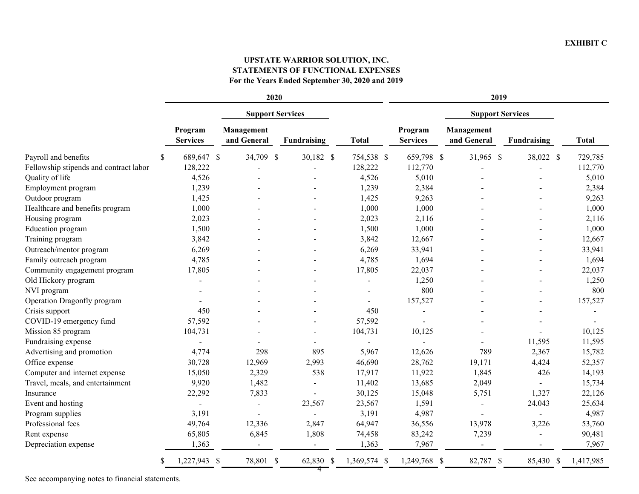# **UPSTATE WARRIOR SOLUTION, INC. STATEMENTS OF FUNCTIONAL EXPENSES For the Years Ended September 30, 2020 and 2019**

|                                        | 2020                       |                           |                                          |              | 2019                       |                           |                         |              |  |  |
|----------------------------------------|----------------------------|---------------------------|------------------------------------------|--------------|----------------------------|---------------------------|-------------------------|--------------|--|--|
|                                        |                            | <b>Support Services</b>   |                                          |              |                            |                           | <b>Support Services</b> |              |  |  |
|                                        | Program<br><b>Services</b> | Management<br>and General | Fundraising                              | <b>Total</b> | Program<br><b>Services</b> | Management<br>and General | Fundraising             | <b>Total</b> |  |  |
| Payroll and benefits                   | 689,647 \$<br>\$           | 34,709 \$                 | 30,182 \$                                | 754,538 \$   | 659,798 \$                 | 31,965 \$                 | 38,022 \$               | 729,785      |  |  |
| Fellowship stipends and contract labor | 128,222                    |                           |                                          | 128,222      | 112,770                    |                           |                         | 112,770      |  |  |
| Quality of life                        | 4,526                      |                           |                                          | 4,526        | 5,010                      |                           |                         | 5,010        |  |  |
| Employment program                     | 1,239                      |                           |                                          | 1,239        | 2,384                      |                           |                         | 2,384        |  |  |
| Outdoor program                        | 1,425                      |                           |                                          | 1,425        | 9,263                      |                           |                         | 9,263        |  |  |
| Healthcare and benefits program        | 1,000                      |                           |                                          | 1,000        | 1,000                      |                           |                         | 1,000        |  |  |
| Housing program                        | 2,023                      |                           |                                          | 2,023        | 2,116                      |                           |                         | 2,116        |  |  |
| Education program                      | 1,500                      |                           |                                          | 1,500        | 1,000                      |                           |                         | 1,000        |  |  |
| Training program                       | 3,842                      |                           |                                          | 3,842        | 12,667                     |                           |                         | 12,667       |  |  |
| Outreach/mentor program                | 6,269                      |                           |                                          | 6,269        | 33,941                     |                           |                         | 33,941       |  |  |
| Family outreach program                | 4,785                      |                           |                                          | 4,785        | 1,694                      |                           |                         | 1,694        |  |  |
| Community engagement program           | 17,805                     |                           |                                          | 17,805       | 22,037                     |                           |                         | 22,037       |  |  |
| Old Hickory program                    |                            |                           |                                          |              | 1,250                      |                           |                         | 1,250        |  |  |
| NVI program                            |                            |                           |                                          |              | 800                        |                           |                         | 800          |  |  |
| Operation Dragonfly program            |                            |                           |                                          |              | 157,527                    |                           |                         | 157,527      |  |  |
| Crisis support                         | 450                        |                           |                                          | 450          |                            |                           |                         |              |  |  |
| COVID-19 emergency fund                | 57,592                     |                           |                                          | 57,592       |                            |                           |                         |              |  |  |
| Mission 85 program                     | 104,731                    |                           |                                          | 104,731      | 10,125                     |                           |                         | 10,125       |  |  |
| Fundraising expense                    |                            |                           |                                          |              |                            |                           | 11,595                  | 11,595       |  |  |
| Advertising and promotion              | 4,774                      | 298                       | 895                                      | 5,967        | 12,626                     | 789                       | 2,367                   | 15,782       |  |  |
| Office expense                         | 30,728                     | 12,969                    | 2,993                                    | 46,690       | 28,762                     | 19,171                    | 4,424                   | 52,357       |  |  |
| Computer and internet expense          | 15,050                     | 2,329                     | 538                                      | 17,917       | 11,922                     | 1,845                     | 426                     | 14,193       |  |  |
| Travel, meals, and entertainment       | 9,920                      | 1,482                     |                                          | 11,402       | 13,685                     | 2,049                     |                         | 15,734       |  |  |
| Insurance                              | 22,292                     | 7,833                     |                                          | 30,125       | 15,048                     | 5,751                     | 1,327                   | 22,126       |  |  |
| Event and hosting                      |                            |                           | 23,567                                   | 23,567       | 1,591                      |                           | 24,043                  | 25,634       |  |  |
| Program supplies                       | 3,191                      |                           |                                          | 3,191        | 4,987                      |                           |                         | 4,987        |  |  |
| Professional fees                      | 49,764                     | 12,336                    | 2,847                                    | 64,947       | 36,556                     | 13,978                    | 3,226                   | 53,760       |  |  |
| Rent expense                           | 65,805                     | 6,845                     | 1,808                                    | 74,458       | 83,242                     | 7,239                     |                         | 90,481       |  |  |
| Depreciation expense                   | 1,363                      |                           |                                          | 1,363        | 7,967                      | $\blacksquare$            |                         | 7,967        |  |  |
|                                        | 1,227,943 \$               | 78,801 \$                 | 62,830<br>$\boldsymbol{\mathsf{S}}$<br>4 | 1,369,574 \$ | 1,249,768                  | 82,787<br>-\$<br>-\$      | 85,430<br>$\sqrt{3}$    | 1,417,985    |  |  |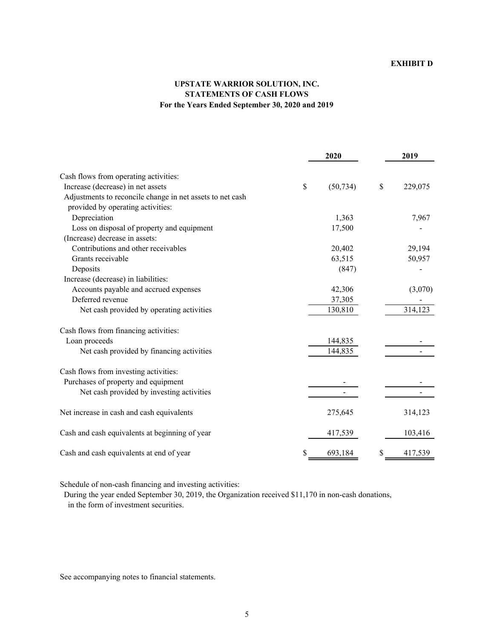### **EXHIBIT D**

# **UPSTATE WARRIOR SOLUTION, INC. STATEMENTS OF CASH FLOWS For the Years Ended September 30, 2020 and 2019**

|                                                           | 2020            |    | 2019    |
|-----------------------------------------------------------|-----------------|----|---------|
| Cash flows from operating activities:                     |                 |    |         |
| Increase (decrease) in net assets                         | \$<br>(50, 734) | \$ | 229,075 |
| Adjustments to reconcile change in net assets to net cash |                 |    |         |
| provided by operating activities:                         |                 |    |         |
| Depreciation                                              | 1,363           |    | 7,967   |
| Loss on disposal of property and equipment                | 17,500          |    |         |
| (Increase) decrease in assets:                            |                 |    |         |
| Contributions and other receivables                       | 20,402          |    | 29,194  |
| Grants receivable                                         | 63,515          |    | 50,957  |
| Deposits                                                  | (847)           |    |         |
| Increase (decrease) in liabilities:                       |                 |    |         |
| Accounts payable and accrued expenses                     | 42,306          |    | (3,070) |
| Deferred revenue                                          | 37,305          |    |         |
| Net cash provided by operating activities                 | 130,810         |    | 314,123 |
| Cash flows from financing activities:                     |                 |    |         |
| Loan proceeds                                             | 144,835         |    |         |
| Net cash provided by financing activities                 | 144,835         |    |         |
| Cash flows from investing activities:                     |                 |    |         |
| Purchases of property and equipment                       |                 |    |         |
| Net cash provided by investing activities                 |                 |    |         |
| Net increase in cash and cash equivalents                 | 275,645         |    | 314,123 |
| Cash and cash equivalents at beginning of year            | 417,539         |    | 103,416 |
| Cash and cash equivalents at end of year                  | 693,184         | S  | 417,539 |

Schedule of non-cash financing and investing activities:

 During the year ended September 30, 2019, the Organization received \$11,170 in non-cash donations, in the form of investment securities.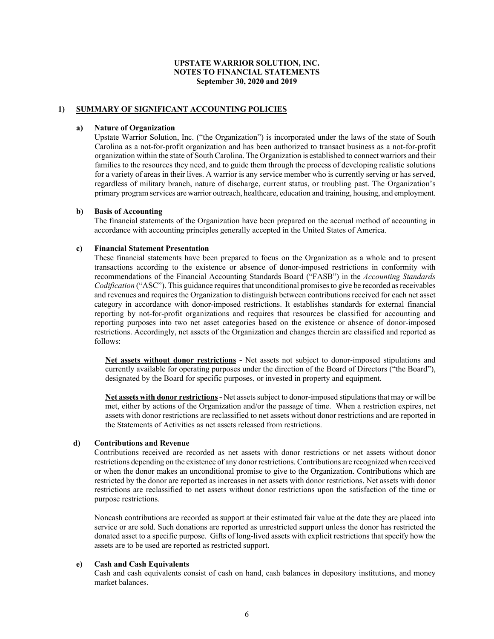## **1) SUMMARY OF SIGNIFICANT ACCOUNTING POLICIES**

### **a) Nature of Organization**

Upstate Warrior Solution, Inc. ("the Organization") is incorporated under the laws of the state of South Carolina as a not-for-profit organization and has been authorized to transact business as a not-for-profit organization within the state of South Carolina. The Organization is established to connect warriors and their families to the resources they need, and to guide them through the process of developing realistic solutions for a variety of areas in their lives. A warrior is any service member who is currently serving or has served, regardless of military branch, nature of discharge, current status, or troubling past. The Organization's primary program services are warrior outreach, healthcare, education and training, housing, and employment.

#### **b) Basis of Accounting**

The financial statements of the Organization have been prepared on the accrual method of accounting in accordance with accounting principles generally accepted in the United States of America.

## **c) Financial Statement Presentation**

These financial statements have been prepared to focus on the Organization as a whole and to present transactions according to the existence or absence of donor-imposed restrictions in conformity with recommendations of the Financial Accounting Standards Board ("FASB") in the *Accounting Standards Codification* ("ASC"). This guidance requires that unconditional promises to give be recorded as receivables and revenues and requires the Organization to distinguish between contributions received for each net asset category in accordance with donor-imposed restrictions. It establishes standards for external financial reporting by not-for-profit organizations and requires that resources be classified for accounting and reporting purposes into two net asset categories based on the existence or absence of donor-imposed restrictions. Accordingly, net assets of the Organization and changes therein are classified and reported as follows:

**Net assets without donor restrictions -** Net assets not subject to donor-imposed stipulations and currently available for operating purposes under the direction of the Board of Directors ("the Board"), designated by the Board for specific purposes, or invested in property and equipment.

**Net assets with donor restrictions -** Net assets subject to donor-imposed stipulations that may or will be met, either by actions of the Organization and/or the passage of time. When a restriction expires, net assets with donor restrictions are reclassified to net assets without donor restrictions and are reported in the Statements of Activities as net assets released from restrictions.

## **d) Contributions and Revenue**

Contributions received are recorded as net assets with donor restrictions or net assets without donor restrictions depending on the existence of any donor restrictions. Contributions are recognized when received or when the donor makes an unconditional promise to give to the Organization. Contributions which are restricted by the donor are reported as increases in net assets with donor restrictions. Net assets with donor restrictions are reclassified to net assets without donor restrictions upon the satisfaction of the time or purpose restrictions.

Noncash contributions are recorded as support at their estimated fair value at the date they are placed into service or are sold. Such donations are reported as unrestricted support unless the donor has restricted the donated asset to a specific purpose. Gifts of long-lived assets with explicit restrictions that specify how the assets are to be used are reported as restricted support.

#### **e) Cash and Cash Equivalents**

Cash and cash equivalents consist of cash on hand, cash balances in depository institutions, and money market balances.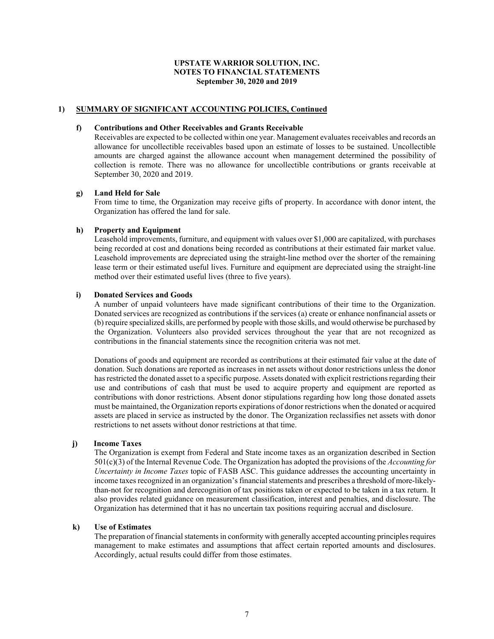## **1) SUMMARY OF SIGNIFICANT ACCOUNTING POLICIES, Continued**

### **f) Contributions and Other Receivables and Grants Receivable**

Receivables are expected to be collected within one year. Management evaluates receivables and records an allowance for uncollectible receivables based upon an estimate of losses to be sustained. Uncollectible amounts are charged against the allowance account when management determined the possibility of collection is remote. There was no allowance for uncollectible contributions or grants receivable at September 30, 2020 and 2019.

#### **g) Land Held for Sale**

From time to time, the Organization may receive gifts of property. In accordance with donor intent, the Organization has offered the land for sale.

### **h) Property and Equipment**

Leasehold improvements, furniture, and equipment with values over \$1,000 are capitalized, with purchases being recorded at cost and donations being recorded as contributions at their estimated fair market value. Leasehold improvements are depreciated using the straight-line method over the shorter of the remaining lease term or their estimated useful lives. Furniture and equipment are depreciated using the straight-line method over their estimated useful lives (three to five years).

#### **i) Donated Services and Goods**

A number of unpaid volunteers have made significant contributions of their time to the Organization. Donated services are recognized as contributions if the services (a) create or enhance nonfinancial assets or (b) require specialized skills, are performed by people with those skills, and would otherwise be purchased by the Organization. Volunteers also provided services throughout the year that are not recognized as contributions in the financial statements since the recognition criteria was not met.

Donations of goods and equipment are recorded as contributions at their estimated fair value at the date of donation. Such donations are reported as increases in net assets without donor restrictions unless the donor has restricted the donated asset to a specific purpose. Assets donated with explicit restrictions regarding their use and contributions of cash that must be used to acquire property and equipment are reported as contributions with donor restrictions. Absent donor stipulations regarding how long those donated assets must be maintained, the Organization reports expirations of donor restrictions when the donated or acquired assets are placed in service as instructed by the donor. The Organization reclassifies net assets with donor restrictions to net assets without donor restrictions at that time.

## **j) Income Taxes**

The Organization is exempt from Federal and State income taxes as an organization described in Section 501(c)(3) of the Internal Revenue Code. The Organization has adopted the provisions of the *Accounting for Uncertainty in Income Taxes* topic of FASB ASC. This guidance addresses the accounting uncertainty in income taxes recognized in an organization's financial statements and prescribes a threshold of more-likelythan-not for recognition and derecognition of tax positions taken or expected to be taken in a tax return. It also provides related guidance on measurement classification, interest and penalties, and disclosure. The Organization has determined that it has no uncertain tax positions requiring accrual and disclosure.

#### **k) Use of Estimates**

The preparation of financial statements in conformity with generally accepted accounting principles requires management to make estimates and assumptions that affect certain reported amounts and disclosures. Accordingly, actual results could differ from those estimates.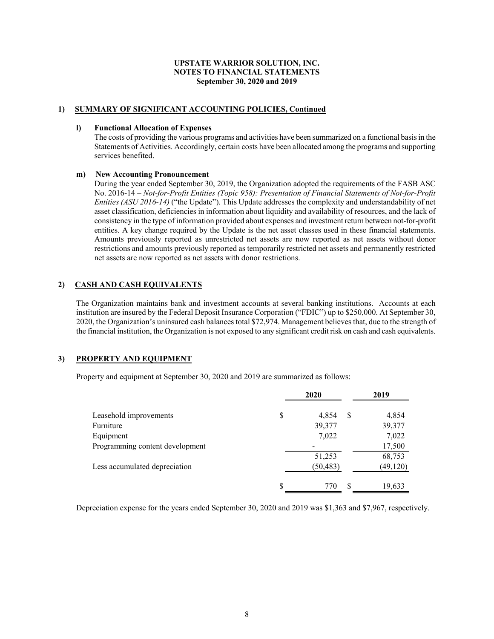## **1) SUMMARY OF SIGNIFICANT ACCOUNTING POLICIES, Continued**

## **l) Functional Allocation of Expenses**

The costs of providing the various programs and activities have been summarized on a functional basis in the Statements of Activities. Accordingly, certain costs have been allocated among the programs and supporting services benefited.

### **m) New Accounting Pronouncement**

During the year ended September 30, 2019, the Organization adopted the requirements of the FASB ASC No. 2016-14 – *Not-for-Profit Entities (Topic 958): Presentation of Financial Statements of Not-for-Profit Entities (ASU 2016-14)* ("the Update"). This Update addresses the complexity and understandability of net asset classification, deficiencies in information about liquidity and availability of resources, and the lack of consistency in the type of information provided about expenses and investment return between not-for-profit entities. A key change required by the Update is the net asset classes used in these financial statements. Amounts previously reported as unrestricted net assets are now reported as net assets without donor restrictions and amounts previously reported as temporarily restricted net assets and permanently restricted net assets are now reported as net assets with donor restrictions.

## **2) CASH AND CASH EQUIVALENTS**

 The Organization maintains bank and investment accounts at several banking institutions. Accounts at each institution are insured by the Federal Deposit Insurance Corporation ("FDIC") up to \$250,000. At September 30, 2020, the Organization's uninsured cash balances total \$72,974. Management believes that, due to the strength of the financial institution, the Organization is not exposed to any significant credit risk on cash and cash equivalents.

# **3) PROPERTY AND EQUIPMENT**

Property and equipment at September 30, 2020 and 2019 are summarized as follows:

|                                 | 2020        |    | 2019      |
|---------------------------------|-------------|----|-----------|
| Leasehold improvements          | \$<br>4,854 |    | 4,854     |
| Furniture                       | 39,377      |    | 39,377    |
| Equipment                       | 7,022       |    | 7,022     |
| Programming content development |             |    | 17,500    |
|                                 | 51,253      |    | 68,753    |
| Less accumulated depreciation   | (50, 483)   |    | (49, 120) |
|                                 | \$<br>770   | \$ | 19,633    |

Depreciation expense for the years ended September 30, 2020 and 2019 was \$1,363 and \$7,967, respectively.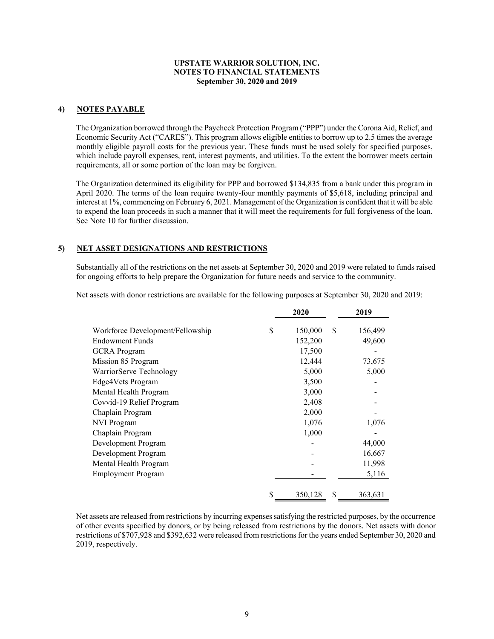## **4) NOTES PAYABLE**

The Organization borrowed through the Paycheck Protection Program ("PPP") under the Corona Aid, Relief, and Economic Security Act ("CARES"). This program allows eligible entities to borrow up to 2.5 times the average monthly eligible payroll costs for the previous year. These funds must be used solely for specified purposes, which include payroll expenses, rent, interest payments, and utilities. To the extent the borrower meets certain requirements, all or some portion of the loan may be forgiven.

The Organization determined its eligibility for PPP and borrowed \$134,835 from a bank under this program in April 2020. The terms of the loan require twenty-four monthly payments of \$5,618, including principal and interest at 1%, commencing on February 6, 2021. Management of the Organization is confident that it will be able to expend the loan proceeds in such a manner that it will meet the requirements for full forgiveness of the loan. See Note 10 for further discussion.

## **5) NET ASSET DESIGNATIONS AND RESTRICTIONS**

Substantially all of the restrictions on the net assets at September 30, 2020 and 2019 were related to funds raised for ongoing efforts to help prepare the Organization for future needs and service to the community.

Net assets with donor restrictions are available for the following purposes at September 30, 2020 and 2019:

|                                  |    | 2020    | 2019          |
|----------------------------------|----|---------|---------------|
| Workforce Development/Fellowship | S  | 150,000 | \$<br>156,499 |
| <b>Endowment Funds</b>           |    | 152,200 | 49,600        |
| <b>GCRA</b> Program              |    | 17,500  |               |
| Mission 85 Program               |    | 12,444  | 73,675        |
| WarriorServe Technology          |    | 5,000   | 5,000         |
| Edge4Vets Program                |    | 3,500   |               |
| Mental Health Program            |    | 3,000   |               |
| Covvid-19 Relief Program         |    | 2,408   |               |
| Chaplain Program                 |    | 2,000   |               |
| <b>NVI Program</b>               |    | 1,076   | 1,076         |
| Chaplain Program                 |    | 1,000   |               |
| Development Program              |    |         | 44,000        |
| Development Program              |    |         | 16,667        |
| Mental Health Program            |    |         | 11,998        |
| <b>Employment Program</b>        |    |         | 5,116         |
|                                  | \$ | 350,128 | \$<br>363,631 |

Net assets are released from restrictions by incurring expenses satisfying the restricted purposes, by the occurrence of other events specified by donors, or by being released from restrictions by the donors. Net assets with donor restrictions of \$707,928 and \$392,632 were released from restrictions for the years ended September 30, 2020 and 2019, respectively.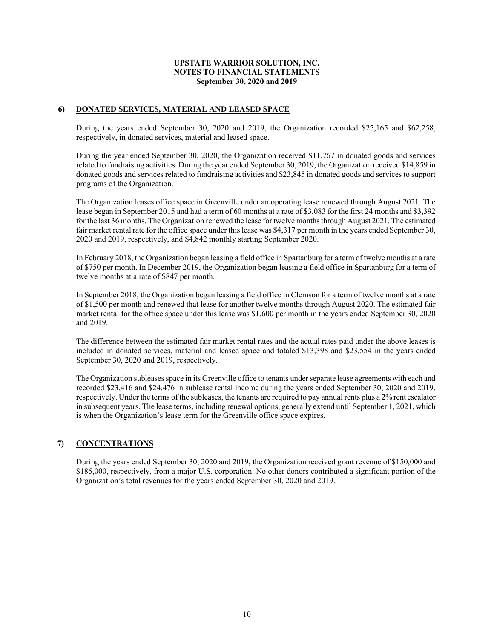## **6) DONATED SERVICES, MATERIAL AND LEASED SPACE**

During the years ended September 30, 2020 and 2019, the Organization recorded \$25,165 and \$62,258, respectively, in donated services, material and leased space.

During the year ended September 30, 2020, the Organization received \$11,767 in donated goods and services related to fundraising activities. During the year ended September 30, 2019, the Organization received \$14,859 in donated goods and services related to fundraising activities and \$23,845 in donated goods and services to support programs of the Organization.

The Organization leases office space in Greenville under an operating lease renewed through August 2021. The lease began in September 2015 and had a term of 60 months at a rate of \$3,083 for the first 24 months and \$3,392 for the last 36 months. The Organization renewed the lease for twelve months through August 2021. The estimated fair market rental rate for the office space under this lease was \$4,317 per month in the years ended September 30, 2020 and 2019, respectively, and \$4,842 monthly starting September 2020.

In February 2018, the Organization began leasing a field office in Spartanburg for a term of twelve months at a rate of \$750 per month. In December 2019, the Organization began leasing a field office in Spartanburg for a term of twelve months at a rate of \$847 per month.

In September 2018, the Organization began leasing a field office in Clemson for a term of twelve months at a rate of \$1,500 per month and renewed that lease for another twelve months through August 2020. The estimated fair market rental for the office space under this lease was \$1,600 per month in the years ended September 30, 2020 and 2019.

The difference between the estimated fair market rental rates and the actual rates paid under the above leases is included in donated services, material and leased space and totaled \$13,398 and \$23,554 in the years ended September 30, 2020 and 2019, respectively.

The Organization subleases space in its Greenville office to tenants under separate lease agreements with each and recorded \$23,416 and \$24,476 in sublease rental income during the years ended September 30, 2020 and 2019, respectively. Under the terms of the subleases, the tenants are required to pay annual rents plus a 2% rent escalator in subsequent years. The lease terms, including renewal options, generally extend until September 1, 2021, which is when the Organization's lease term for the Greenville office space expires.

# **7) CONCENTRATIONS**

During the years ended September 30, 2020 and 2019, the Organization received grant revenue of \$150,000 and \$185,000, respectively, from a major U.S. corporation. No other donors contributed a significant portion of the Organization's total revenues for the years ended September 30, 2020 and 2019.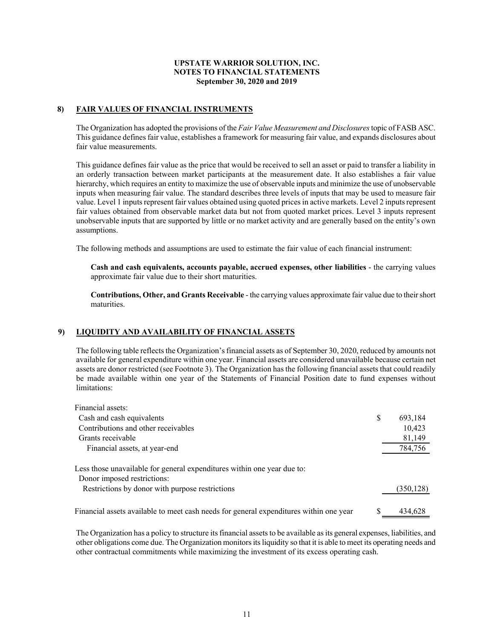## **8) FAIR VALUES OF FINANCIAL INSTRUMENTS**

The Organization has adopted the provisions of the *Fair Value Measurement and Disclosures* topic of FASB ASC. This guidance defines fair value, establishes a framework for measuring fair value, and expands disclosures about fair value measurements.

This guidance defines fair value as the price that would be received to sell an asset or paid to transfer a liability in an orderly transaction between market participants at the measurement date. It also establishes a fair value hierarchy, which requires an entity to maximize the use of observable inputs and minimize the use of unobservable inputs when measuring fair value. The standard describes three levels of inputs that may be used to measure fair value. Level 1 inputs represent fair values obtained using quoted prices in active markets. Level 2 inputs represent fair values obtained from observable market data but not from quoted market prices. Level 3 inputs represent unobservable inputs that are supported by little or no market activity and are generally based on the entity's own assumptions.

The following methods and assumptions are used to estimate the fair value of each financial instrument:

**Cash and cash equivalents, accounts payable, accrued expenses, other liabilities** - the carrying values approximate fair value due to their short maturities.

**Contributions, Other, and Grants Receivable** - the carrying values approximate fair value due to their short maturities.

#### **9) LIQUIDITY AND AVAILABILITY OF FINANCIAL ASSETS**

The following table reflects the Organization's financial assets as of September 30, 2020, reduced by amounts not available for general expenditure within one year. Financial assets are considered unavailable because certain net assets are donor restricted (see Footnote 3). The Organization has the following financial assets that could readily be made available within one year of the Statements of Financial Position date to fund expenses without limitations:

| Financial assets:                                                                      |               |
|----------------------------------------------------------------------------------------|---------------|
| Cash and cash equivalents                                                              | \$<br>693,184 |
| Contributions and other receivables                                                    | 10,423        |
| Grants receivable                                                                      | 81,149        |
| Financial assets, at year-end                                                          | 784,756       |
| Less those unavailable for general expenditures within one year due to:                |               |
| Donor imposed restrictions:                                                            |               |
| Restrictions by donor with purpose restrictions                                        | (350, 128)    |
| Financial assets available to meet cash needs for general expenditures within one year | 434.628       |

The Organization has a policy to structure its financial assets to be available as its general expenses, liabilities, and other obligations come due. The Organization monitors its liquidity so that it is able to meet its operating needs and other contractual commitments while maximizing the investment of its excess operating cash.